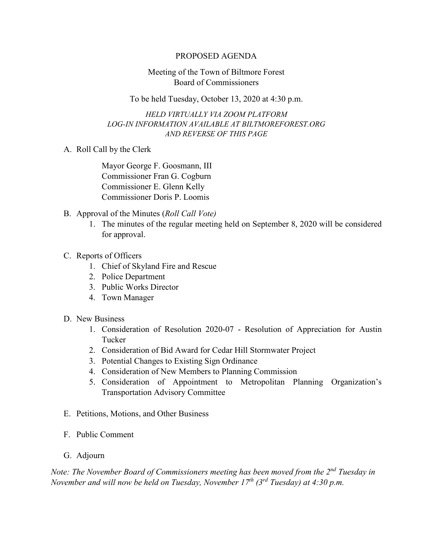## PROPOSED AGENDA

## Meeting of the Town of Biltmore Forest Board of Commissioners

To be held Tuesday, October 13, 2020 at 4:30 p.m.

*HELD VIRTUALLY VIA ZOOM PLATFORM LOG-IN INFORMATION AVAILABLE AT BILTMOREFOREST.ORG AND REVERSE OF THIS PAGE*

A. Roll Call by the Clerk

Mayor George F. Goosmann, III Commissioner Fran G. Cogburn Commissioner E. Glenn Kelly Commissioner Doris P. Loomis

- B. Approval of the Minutes (*Roll Call Vote)*
	- 1. The minutes of the regular meeting held on September 8, 2020 will be considered for approval.
- C. Reports of Officers
	- 1. Chief of Skyland Fire and Rescue
	- 2. Police Department
	- 3. Public Works Director
	- 4. Town Manager
- D. New Business
	- 1. Consideration of Resolution 2020-07 Resolution of Appreciation for Austin Tucker
	- 2. Consideration of Bid Award for Cedar Hill Stormwater Project
	- 3. Potential Changes to Existing Sign Ordinance
	- 4. Consideration of New Members to Planning Commission
	- 5. Consideration of Appointment to Metropolitan Planning Organization's Transportation Advisory Committee
- E. Petitions, Motions, and Other Business
- F. Public Comment
- G. Adjourn

*Note: The November Board of Commissioners meeting has been moved from the 2nd Tuesday in November and will now be held on Tuesday, November 17th (3rd Tuesday) at 4:30 p.m.*